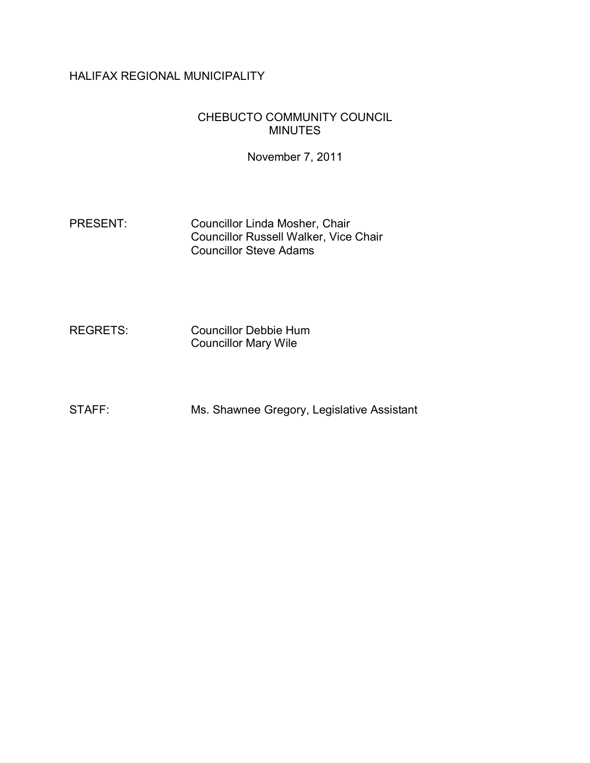# HALIFAX REGIONAL MUNICIPALITY

### CHEBUCTO COMMUNITY COUNCIL MINUTES

November 7, 2011

PRESENT: Councillor Linda Mosher, Chair Councillor Russell Walker, Vice Chair Councillor Steve Adams

REGRETS: Councillor Debbie Hum Councillor Mary Wile

STAFF: Ms. Shawnee Gregory, Legislative Assistant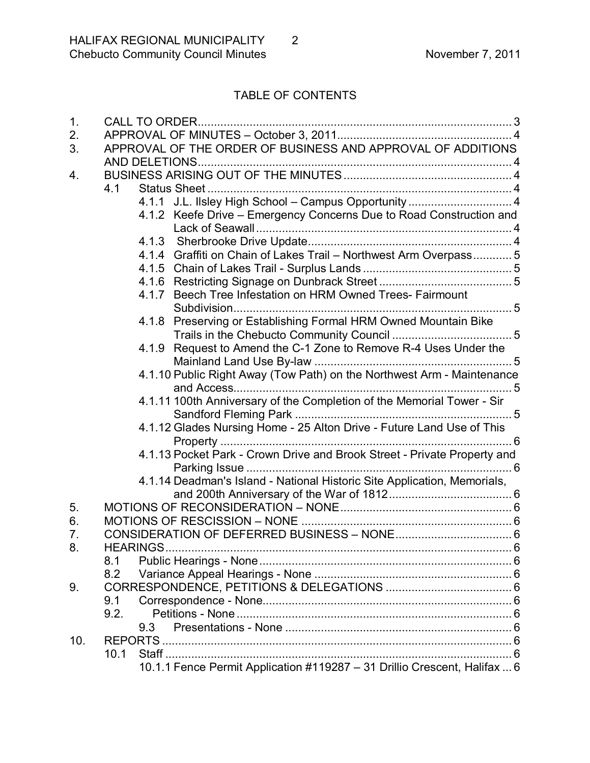# TABLE OF CONTENTS

| 1.  |                                                                           |  |  |  |
|-----|---------------------------------------------------------------------------|--|--|--|
| 2.  |                                                                           |  |  |  |
| 3.  | APPROVAL OF THE ORDER OF BUSINESS AND APPROVAL OF ADDITIONS               |  |  |  |
|     |                                                                           |  |  |  |
| 4.  |                                                                           |  |  |  |
|     | 4.1                                                                       |  |  |  |
|     | 4.1.1 J.L. Ilsley High School - Campus Opportunity  4                     |  |  |  |
|     | 4.1.2 Keefe Drive – Emergency Concerns Due to Road Construction and       |  |  |  |
|     |                                                                           |  |  |  |
|     |                                                                           |  |  |  |
|     | 4.1.4 Graffiti on Chain of Lakes Trail - Northwest Arm Overpass 5         |  |  |  |
|     |                                                                           |  |  |  |
|     |                                                                           |  |  |  |
|     | 4.1.7 Beech Tree Infestation on HRM Owned Trees- Fairmount                |  |  |  |
|     |                                                                           |  |  |  |
|     | 4.1.8 Preserving or Establishing Formal HRM Owned Mountain Bike           |  |  |  |
|     |                                                                           |  |  |  |
|     | 4.1.9 Request to Amend the C-1 Zone to Remove R-4 Uses Under the          |  |  |  |
|     |                                                                           |  |  |  |
|     | 4.1.10 Public Right Away (Tow Path) on the Northwest Arm - Maintenance    |  |  |  |
|     |                                                                           |  |  |  |
|     | 4.1.11 100th Anniversary of the Completion of the Memorial Tower - Sir    |  |  |  |
|     |                                                                           |  |  |  |
|     | 4.1.12 Glades Nursing Home - 25 Alton Drive - Future Land Use of This     |  |  |  |
|     |                                                                           |  |  |  |
|     | 4.1.13 Pocket Park - Crown Drive and Brook Street - Private Property and  |  |  |  |
|     |                                                                           |  |  |  |
|     | 4.1.14 Deadman's Island - National Historic Site Application, Memorials,  |  |  |  |
|     |                                                                           |  |  |  |
| 5.  |                                                                           |  |  |  |
| 6.  |                                                                           |  |  |  |
| 7.  |                                                                           |  |  |  |
| 8.  | <b>HEARINGS</b>                                                           |  |  |  |
|     | 8.1                                                                       |  |  |  |
|     | 8.2                                                                       |  |  |  |
| 9.  |                                                                           |  |  |  |
|     | 9.1                                                                       |  |  |  |
|     | 9.2.                                                                      |  |  |  |
|     | 9.3                                                                       |  |  |  |
| 10. |                                                                           |  |  |  |
|     | 10.1                                                                      |  |  |  |
|     | 10.1.1 Fence Permit Application #119287 - 31 Drillio Crescent, Halifax  6 |  |  |  |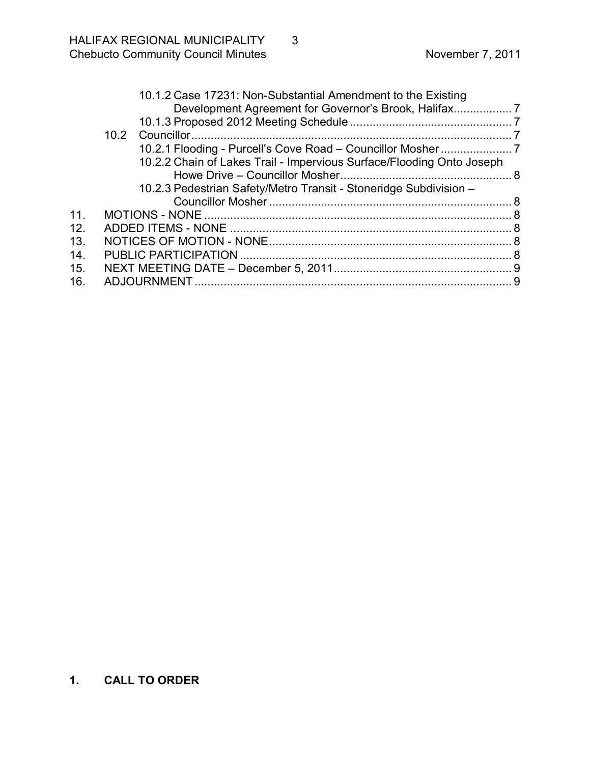<span id="page-2-0"></span>

|     | 10.1.2 Case 17231: Non-Substantial Amendment to the Existing          |  |
|-----|-----------------------------------------------------------------------|--|
|     |                                                                       |  |
|     |                                                                       |  |
|     |                                                                       |  |
|     |                                                                       |  |
|     | 10.2.2 Chain of Lakes Trail - Impervious Surface/Flooding Onto Joseph |  |
|     |                                                                       |  |
|     | 10.2.3 Pedestrian Safety/Metro Transit - Stoneridge Subdivision -     |  |
|     |                                                                       |  |
| 11. |                                                                       |  |
| 12. |                                                                       |  |
| 13. |                                                                       |  |
| 14. |                                                                       |  |
| 15. |                                                                       |  |
| 16. |                                                                       |  |
|     |                                                                       |  |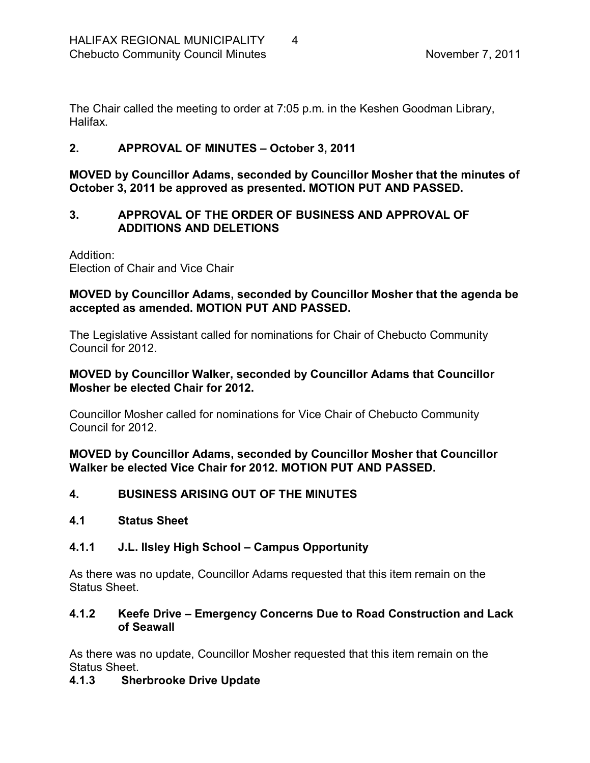The Chair called the meeting to order at 7:05 p.m. in the Keshen Goodman Library, **Halifax** 

# <span id="page-3-0"></span>**2. APPROVAL OF MINUTES – October 3, 2011**

**MOVED by Councillor Adams, seconded by Councillor Mosher that the minutes of October 3, 2011 be approved as presented. MOTION PUT AND PASSED.** 

### <span id="page-3-1"></span>**3. APPROVAL OF THE ORDER OF BUSINESS AND APPROVAL OF ADDITIONS AND DELETIONS**

Addition: Election of Chair and Vice Chair

### **MOVED by Councillor Adams, seconded by Councillor Mosher that the agenda be accepted as amended. MOTION PUT AND PASSED.**

The Legislative Assistant called for nominations for Chair of Chebucto Community Council for 2012.

#### **MOVED by Councillor Walker, seconded by Councillor Adams that Councillor Mosher be elected Chair for 2012.**

Councillor Mosher called for nominations for Vice Chair of Chebucto Community Council for 2012.

**MOVED by Councillor Adams, seconded by Councillor Mosher that Councillor Walker be elected Vice Chair for 2012. MOTION PUT AND PASSED.** 

<span id="page-3-2"></span>**4. BUSINESS ARISING OUT OF THE MINUTES**

### <span id="page-3-3"></span>**4.1 Status Sheet**

# <span id="page-3-4"></span>**4.1.1 J.L. Ilsley High School – Campus Opportunity**

As there was no update, Councillor Adams requested that this item remain on the Status Sheet.

### <span id="page-3-5"></span>**4.1.2 Keefe Drive – Emergency Concerns Due to Road Construction and Lack of Seawall**

As there was no update, Councillor Mosher requested that this item remain on the Status Sheet.

# <span id="page-3-6"></span>**4.1.3 Sherbrooke Drive Update**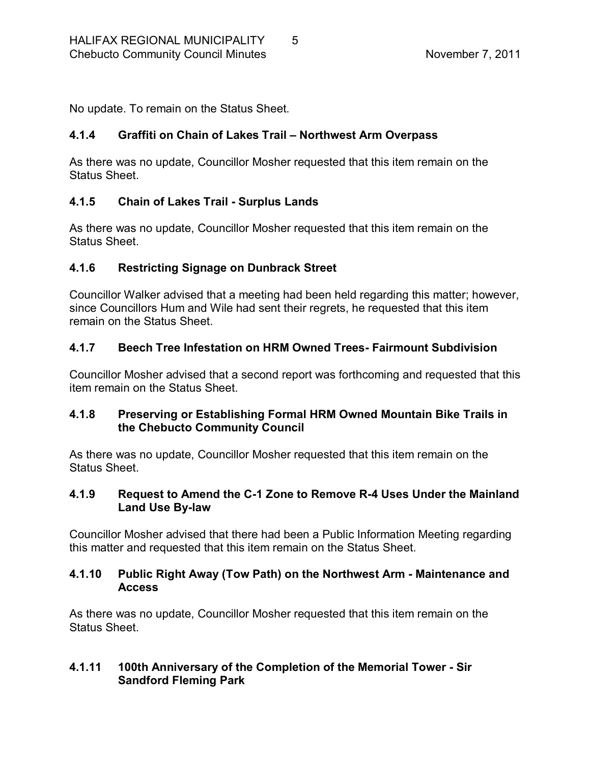No update. To remain on the Status Sheet.

### <span id="page-4-0"></span>**4.1.4 Graffiti on Chain of Lakes Trail – Northwest Arm Overpass**

As there was no update, Councillor Mosher requested that this item remain on the Status Sheet.

### <span id="page-4-1"></span>**4.1.5 Chain of Lakes Trail Surplus Lands**

As there was no update, Councillor Mosher requested that this item remain on the Status Sheet.

### <span id="page-4-2"></span>**4.1.6 Restricting Signage on Dunbrack Street**

Councillor Walker advised that a meeting had been held regarding this matter; however, since Councillors Hum and Wile had sent their regrets, he requested that this item remain on the Status Sheet.

### <span id="page-4-3"></span>**4.1.7 Beech Tree Infestation on HRM Owned Trees Fairmount Subdivision**

Councillor Mosher advised that a second report was forthcoming and requested that this item remain on the Status Sheet.

### <span id="page-4-4"></span>**4.1.8 Preserving or Establishing Formal HRM Owned Mountain Bike Trails in the Chebucto Community Council**

As there was no update, Councillor Mosher requested that this item remain on the Status Sheet.

### <span id="page-4-5"></span>**4.1.9 Request to Amend the C1 Zone to Remove R4 Uses Under the Mainland** Land Use By-law

Councillor Mosher advised that there had been a Public Information Meeting regarding this matter and requested that this item remain on the Status Sheet.

### <span id="page-4-6"></span>**4.1.10 Public Right Away (Tow Path) on the Northwest Arm Maintenance and Access**

As there was no update, Councillor Mosher requested that this item remain on the Status Sheet.

### <span id="page-4-7"></span>**4.1.11 100th Anniversary of the Completion of the Memorial Tower Sir Sandford Fleming Park**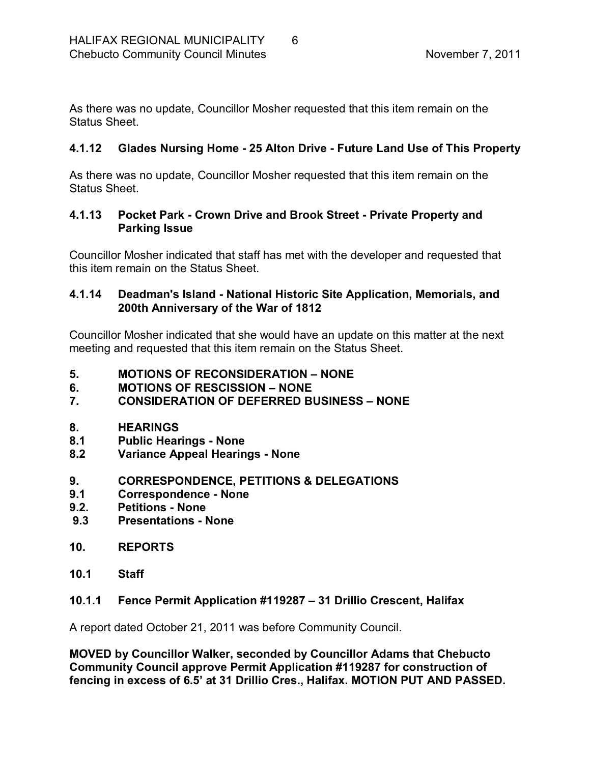As there was no update, Councillor Mosher requested that this item remain on the Status Sheet.

### <span id="page-5-0"></span>**4.1.12 Glades Nursing Home 25 Alton Drive Future Land Use of This Property**

As there was no update, Councillor Mosher requested that this item remain on the Status Sheet.

### <span id="page-5-1"></span>**4.1.13 Pocket Park Crown Drive and Brook Street Private Property and Parking Issue**

Councillor Mosher indicated that staff has met with the developer and requested that this item remain on the Status Sheet.

### <span id="page-5-2"></span>**4.1.14 Deadman's Island National Historic Site Application, Memorials, and 200th Anniversary of the War of 1812**

Councillor Mosher indicated that she would have an update on this matter at the next meeting and requested that this item remain on the Status Sheet.

- <span id="page-5-3"></span>**5. MOTIONS OF RECONSIDERATION – NONE**
- <span id="page-5-4"></span>**6. MOTIONS OF RESCISSION – NONE**

# <span id="page-5-5"></span>**7. CONSIDERATION OF DEFERRED BUSINESS – NONE**

- <span id="page-5-6"></span>**8. HEARINGS**
- <span id="page-5-7"></span>**8.1 Public Hearings None**
- <span id="page-5-8"></span>**8.2 Variance Appeal Hearings None**

### <span id="page-5-9"></span>**9. CORRESPONDENCE, PETITIONS & DELEGATIONS**

- <span id="page-5-10"></span>**9.1 Correspondence None**
- <span id="page-5-11"></span>**Petitions - None**
- <span id="page-5-12"></span>**9.3 Presentations None**
- <span id="page-5-13"></span>**10. REPORTS**
- <span id="page-5-14"></span>**10.1 Staff**

### <span id="page-5-15"></span>**10.1.1 Fence Permit Application #119287 – 31 Drillio Crescent, Halifax**

A report dated October 21, 2011 was before Community Council.

**MOVED by Councillor Walker, seconded by Councillor Adams that Chebucto Community Council approve Permit Application #119287 for construction of fencing in excess of 6.5' at 31 Drillio Cres., Halifax. MOTION PUT AND PASSED.**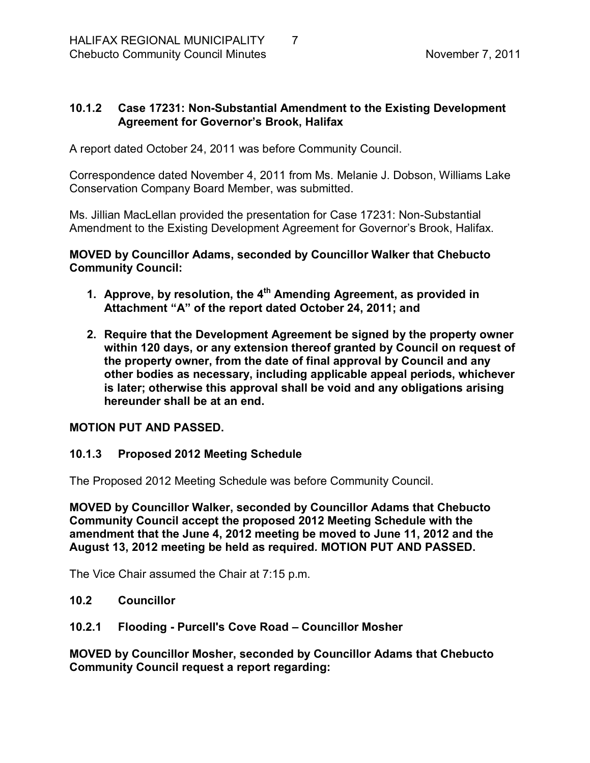### <span id="page-6-0"></span>**10.1.2 Case 17231: Non-Substantial Amendment to the Existing Development Agreement for Governor's Brook, Halifax**

A report dated October 24, 2011 was before Community Council.

Correspondence dated November 4, 2011 from Ms. Melanie J. Dobson, Williams Lake Conservation Company Board Member, was submitted.

Ms. Jillian MacLellan provided the presentation for Case 17231: Non-Substantial Amendment to the Existing Development Agreement for Governor's Brook, Halifax.

**MOVED by Councillor Adams, seconded by Councillor Walker that Chebucto Community Council:**

- **1. Approve, by resolution, the 4th Amending Agreement, as provided in Attachment "A" of the report dated October 24, 2011; and**
- **2. Require that the Development Agreement be signed by the property owner within 120 days, or any extension thereof granted by Council on request of the property owner, from the date of final approval by Council and any other bodies as necessary, including applicable appeal periods, whichever is later; otherwise this approval shall be void and any obligations arising hereunder shall be at an end.**

### **MOTION PUT AND PASSED.**

### <span id="page-6-1"></span>**10.1.3 Proposed 2012 Meeting Schedule**

The Proposed 2012 Meeting Schedule was before Community Council.

**MOVED by Councillor Walker, seconded by Councillor Adams that Chebucto Community Council accept the proposed 2012 Meeting Schedule with the amendment that the June 4, 2012 meeting be moved to June 11, 2012 and the August 13, 2012 meeting be held as required***.* **MOTION PUT AND PASSED.**

The Vice Chair assumed the Chair at 7:15 p.m.

### <span id="page-6-2"></span>**10.2 Councillor**

### <span id="page-6-3"></span>**10.2.1 Flooding Purcell's Cove Road – Councillor Mosher**

**MOVED by Councillor Mosher, seconded by Councillor Adams that Chebucto Community Council request a report regarding:**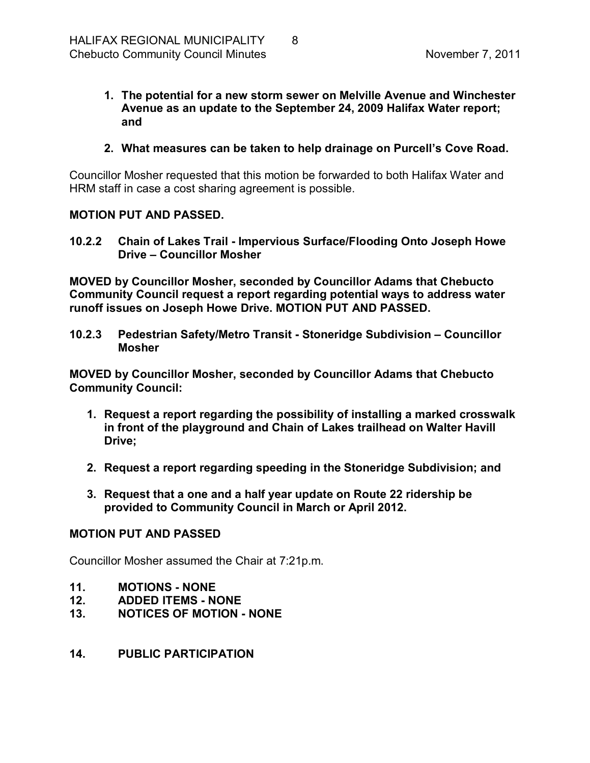- **1. The potential for a new storm sewer on Melville Avenue and Winchester Avenue as an update to the September 24, 2009 Halifax Water report; and**
- **2. What measures can be taken to help drainage on Purcell's Cove Road.**

Councillor Mosher requested that this motion be forwarded to both Halifax Water and HRM staff in case a cost sharing agreement is possible.

### **MOTION PUT AND PASSED.**

<span id="page-7-0"></span>**10.2.2 Chain of Lakes Trail Impervious Surface/Flooding Onto Joseph Howe Drive – Councillor Mosher** 

**MOVED by Councillor Mosher, seconded by Councillor Adams that Chebucto Community Council request a report regarding potential ways to address water runoff issues on Joseph Howe Drive. MOTION PUT AND PASSED.** 

<span id="page-7-1"></span>**10.2.3 Pedestrian Safety/Metro Transit Stoneridge Subdivision – Councillor Mosher** 

**MOVED by Councillor Mosher, seconded by Councillor Adams that Chebucto Community Council:**

- **1. Request a report regarding the possibility of installing a marked crosswalk in front of the playground and Chain of Lakes trailhead on Walter Havill Drive;**
- **2. Request a report regarding speeding in the Stoneridge Subdivision; and**
- **3. Request that a one and a half year update on Route 22 ridership be provided to Community Council in March or April 2012.**

### **MOTION PUT AND PASSED**

Councillor Mosher assumed the Chair at 7:21p.m.

- <span id="page-7-2"></span>**11. MOTIONS NONE**
- <span id="page-7-3"></span>**12. ADDED ITEMS NONE**
- <span id="page-7-4"></span>**13. NOTICES OF MOTION NONE**
- <span id="page-7-5"></span>**14. PUBLIC PARTICIPATION**